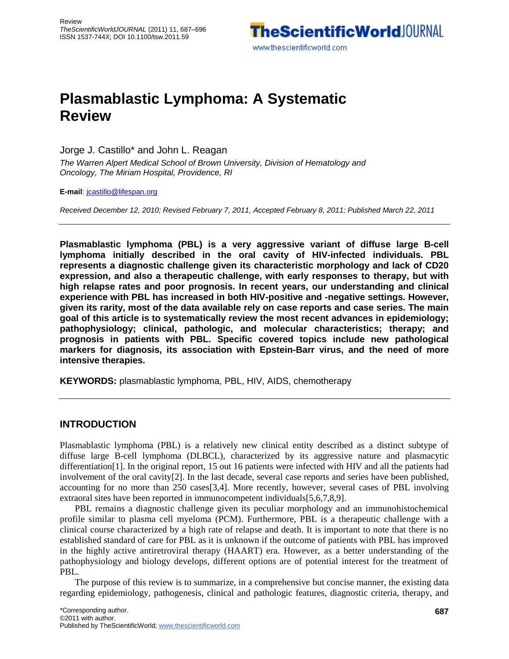# **Plasmablastic Lymphoma: A Systematic Review**

#### Jorge J. Castillo\* and John L. Reagan

*The Warren Alpert Medical School of Brown University, Division of Hematology and Oncology, The Miriam Hospital, Providence, RI*

**E-mail**: [jcastillo@lifespan.org](mailto:jcastillo@lifespan.org)

*Received December 12, 2010; Revised February 7, 2011, Accepted February 8, 2011; Published March 22, 2011*

**Plasmablastic lymphoma (PBL) is a very aggressive variant of diffuse large B-cell lymphoma initially described in the oral cavity of HIV-infected individuals. PBL represents a diagnostic challenge given its characteristic morphology and lack of CD20 expression, and also a therapeutic challenge, with early responses to therapy, but with high relapse rates and poor prognosis. In recent years, our understanding and clinical experience with PBL has increased in both HIV-positive and -negative settings. However, given its rarity, most of the data available rely on case reports and case series. The main goal of this article is to systematically review the most recent advances in epidemiology; pathophysiology; clinical, pathologic, and molecular characteristics; therapy; and prognosis in patients with PBL. Specific covered topics include new pathological markers for diagnosis, its association with Epstein-Barr virus, and the need of more intensive therapies.**

**KEYWORDS:** plasmablastic lymphoma, PBL, HIV, AIDS, chemotherapy

#### **INTRODUCTION**

Plasmablastic lymphoma (PBL) is a relatively new clinical entity described as a distinct subtype of diffuse large B-cell lymphoma (DLBCL), characterized by its aggressive nature and plasmacytic differentiation[1]. In the original report, 15 out 16 patients were infected with HIV and all the patients had involvement of the oral cavity[2]. In the last decade, several case reports and series have been published, accounting for no more than 250 cases[3,4]. More recently, however, several cases of PBL involving extraoral sites have been reported in immunocompetent individuals[5,6,7,8,9].

PBL remains a diagnostic challenge given its peculiar morphology and an immunohistochemical profile similar to plasma cell myeloma (PCM). Furthermore, PBL is a therapeutic challenge with a clinical course characterized by a high rate of relapse and death. It is important to note that there is no established standard of care for PBL as it is unknown if the outcome of patients with PBL has improved in the highly active antiretroviral therapy (HAART) era. However, as a better understanding of the pathophysiology and biology develops, different options are of potential interest for the treatment of PBL.

The purpose of this review is to summarize, in a comprehensive but concise manner, the existing data regarding epidemiology, pathogenesis, clinical and pathologic features, diagnostic criteria, therapy, and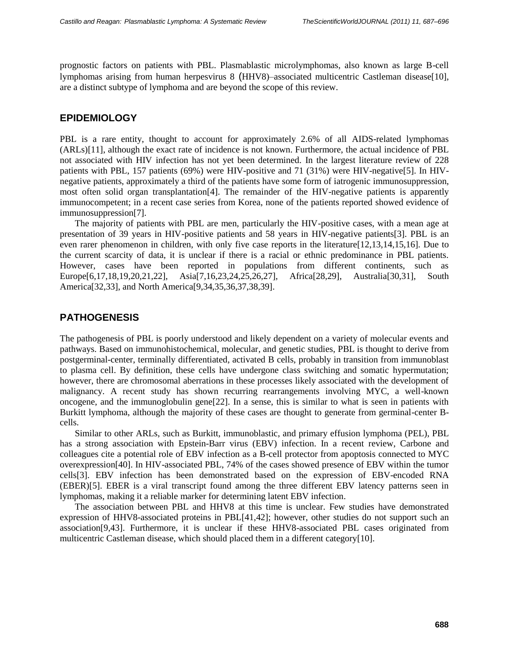prognostic factors on patients with PBL. Plasmablastic microlymphomas, also known as large B-cell lymphomas arising from human herpesvirus 8 (HHV8)–associated multicentric Castleman disease[10], are a distinct subtype of lymphoma and are beyond the scope of this review.

#### **EPIDEMIOLOGY**

PBL is a rare entity, thought to account for approximately 2.6% of all AIDS-related lymphomas (ARLs)[11], although the exact rate of incidence is not known. Furthermore, the actual incidence of PBL not associated with HIV infection has not yet been determined. In the largest literature review of 228 patients with PBL, 157 patients (69%) were HIV-positive and 71 (31%) were HIV-negative[5]. In HIVnegative patients, approximately a third of the patients have some form of iatrogenic immunosuppression, most often solid organ transplantation[4]. The remainder of the HIV-negative patients is apparently immunocompetent; in a recent case series from Korea, none of the patients reported showed evidence of immunosuppression[7].

The majority of patients with PBL are men, particularly the HIV-positive cases, with a mean age at presentation of 39 years in HIV-positive patients and 58 years in HIV-negative patients[3]. PBL is an even rarer phenomenon in children, with only five case reports in the literature[12,13,14,15,16]. Due to the current scarcity of data, it is unclear if there is a racial or ethnic predominance in PBL patients. However, cases have been reported in populations from different continents, such as Europe[6,17,18,19,20,21,22], Asia[7,16,23,24,25,26,27], Africa[28,29], Australia[30,31], South America[32,33], and North America[9,34,35,36,37,38,39].

#### **PATHOGENESIS**

The pathogenesis of PBL is poorly understood and likely dependent on a variety of molecular events and pathways. Based on immunohistochemical, molecular, and genetic studies, PBL is thought to derive from postgerminal-center, terminally differentiated, activated B cells, probably in transition from immunoblast to plasma cell. By definition, these cells have undergone class switching and somatic hypermutation; however, there are chromosomal aberrations in these processes likely associated with the development of malignancy. A recent study has shown recurring rearrangements involving MYC, a well-known oncogene, and the immunoglobulin gene[22]. In a sense, this is similar to what is seen in patients with Burkitt lymphoma, although the majority of these cases are thought to generate from germinal-center Bcells.

Similar to other ARLs, such as Burkitt, immunoblastic, and primary effusion lymphoma (PEL), PBL has a strong association with Epstein-Barr virus (EBV) infection. In a recent review, Carbone and colleagues cite a potential role of EBV infection as a B-cell protector from apoptosis connected to MYC overexpression[40]. In HIV-associated PBL, 74% of the cases showed presence of EBV within the tumor cells[3]. EBV infection has been demonstrated based on the expression of EBV-encoded RNA (EBER)[5]. EBER is a viral transcript found among the three different EBV latency patterns seen in lymphomas, making it a reliable marker for determining latent EBV infection.

The association between PBL and HHV8 at this time is unclear. Few studies have demonstrated expression of HHV8-associated proteins in PBL[41,42]; however, other studies do not support such an association[9,43]. Furthermore, it is unclear if these HHV8-associated PBL cases originated from multicentric Castleman disease, which should placed them in a different category[10].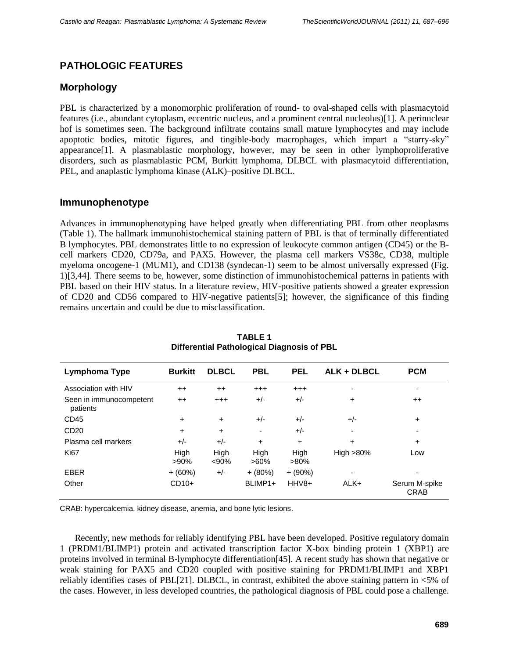# **PATHOLOGIC FEATURES**

## **Morphology**

PBL is characterized by a monomorphic proliferation of round- to oval-shaped cells with plasmacytoid features (i.e., abundant cytoplasm, eccentric nucleus, and a prominent central nucleolus)[1]. A perinuclear hof is sometimes seen. The background infiltrate contains small mature lymphocytes and may include apoptotic bodies, mitotic figures, and tingible-body macrophages, which impart a "starry-sky" appearance[1]. A plasmablastic morphology, however, may be seen in other lymphoproliferative disorders, such as plasmablastic PCM, Burkitt lymphoma, DLBCL with plasmacytoid differentiation, PEL, and anaplastic lymphoma kinase (ALK)–positive DLBCL.

### **Immunophenotype**

Advances in immunophenotyping have helped greatly when differentiating PBL from other neoplasms (Table 1). The hallmark immunohistochemical staining pattern of PBL is that of terminally differentiated B lymphocytes. PBL demonstrates little to no expression of leukocyte common antigen (CD45) or the Bcell markers CD20, CD79a, and PAX5. However, the plasma cell markers VS38c, CD38, multiple myeloma oncogene-1 (MUM1), and CD138 (syndecan-1) seem to be almost universally expressed (Fig. 1)[3,44]. There seems to be, however, some distinction of immunohistochemical patterns in patients with PBL based on their HIV status. In a literature review, HIV-positive patients showed a greater expression of CD20 and CD56 compared to HIV-negative patients[5]; however, the significance of this finding remains uncertain and could be due to misclassification.

| Lymphoma Type                       | <b>Burkitt</b>  | <b>DLBCL</b>    | <b>PBL</b>      | <b>PEL</b>      | ALK + DLBCL              | <b>PCM</b>                   |
|-------------------------------------|-----------------|-----------------|-----------------|-----------------|--------------------------|------------------------------|
| Association with HIV                | $++$            | $^{\mathrm{+}}$ | $^{++}$         | $+ + +$         | -                        | $\overline{\phantom{0}}$     |
| Seen in immunocompetent<br>patients | $++$            | $^{+++}$        | $+/-$           | $+/-$           | $\ddot{}$                | $++$                         |
| CD45                                | $\ddot{}$       | $\ddot{}$       | $+/-$           | $+/-$           | $+/-$                    | $\ddot{}$                    |
| CD <sub>20</sub>                    | $+$             | $\ddot{}$       | ٠               | $+/-$           | $\overline{\phantom{a}}$ | $\overline{\phantom{0}}$     |
| Plasma cell markers                 | $+/-$           | $+/-$           | $\ddot{}$       | $\ddot{}$       | $\ddot{}$                | $\ddot{}$                    |
| Ki <sub>67</sub>                    | High<br>$>90\%$ | High<br>$<90\%$ | High<br>$>60\%$ | High<br>$>80\%$ | High $>80\%$             | Low                          |
| <b>EBER</b>                         | $+ (60\%)$      | $+/-$           | $+ (80\%)$      | $+ (90\%)$      |                          |                              |
| Other                               | $CD10+$         |                 | BLIMP1+         | $HHV8+$         | ALK+                     | Serum M-spike<br><b>CRAB</b> |

**TABLE 1 Differential Pathological Diagnosis of PBL**

CRAB: hypercalcemia, kidney disease, anemia, and bone lytic lesions.

Recently, new methods for reliably identifying PBL have been developed. Positive regulatory domain 1 (PRDM1/BLIMP1) protein and activated transcription factor X-box binding protein 1 (XBP1) are proteins involved in terminal B-lymphocyte differentiation[45]. A recent study has shown that negative or weak staining for PAX5 and CD20 coupled with positive staining for PRDM1/BLIMP1 and XBP1 reliably identifies cases of PBL[21]. DLBCL, in contrast, exhibited the above staining pattern in  $\leq 5\%$  of the cases. However, in less developed countries, the pathological diagnosis of PBL could pose a challenge.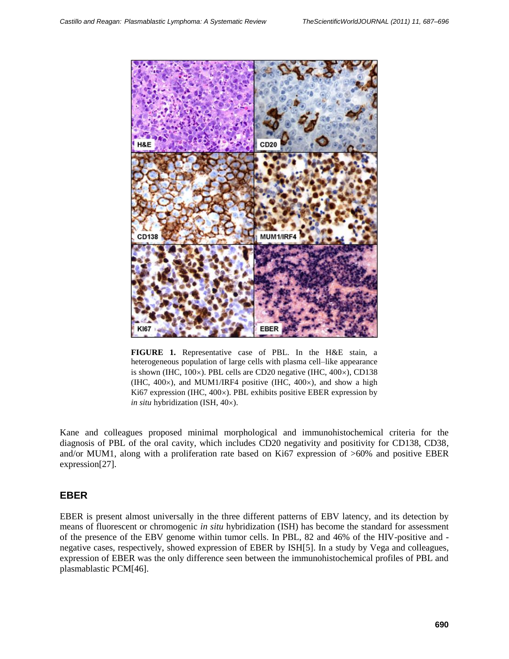

**FIGURE 1.** Representative case of PBL. In the H&E stain, a heterogeneous population of large cells with plasma cell–like appearance is shown (IHC,  $100 \times$ ). PBL cells are CD20 negative (IHC,  $400 \times$ ), CD138 (IHC,  $400\times$ ), and MUM1/IRF4 positive (IHC,  $400\times$ ), and show a high Ki67 expression (IHC,  $400 \times$ ). PBL exhibits positive EBER expression by *in situ* hybridization (ISH, 40×).

Kane and colleagues proposed minimal morphological and immunohistochemical criteria for the diagnosis of PBL of the oral cavity, which includes CD20 negativity and positivity for CD138, CD38, and/or MUM1, along with a proliferation rate based on Ki67 expression of >60% and positive EBER expression[27].

#### **EBER**

EBER is present almost universally in the three different patterns of EBV latency, and its detection by means of fluorescent or chromogenic *in situ* hybridization (ISH) has become the standard for assessment of the presence of the EBV genome within tumor cells. In PBL, 82 and 46% of the HIV-positive and negative cases, respectively, showed expression of EBER by ISH[5]. In a study by Vega and colleagues, expression of EBER was the only difference seen between the immunohistochemical profiles of PBL and plasmablastic PCM[46].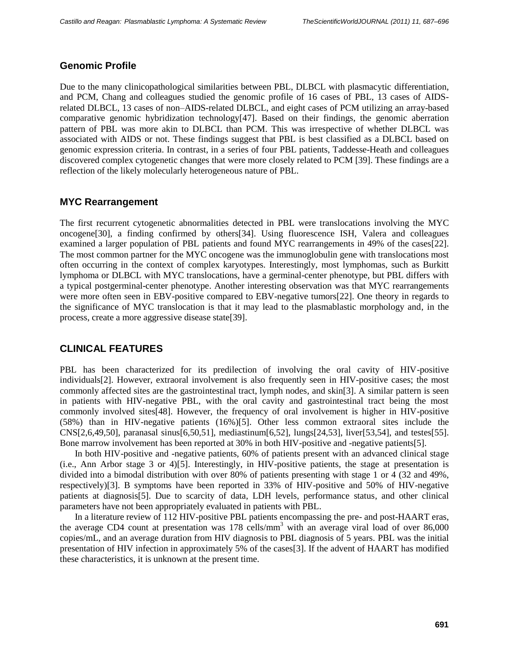#### **Genomic Profile**

Due to the many clinicopathological similarities between PBL, DLBCL with plasmacytic differentiation, and PCM, Chang and colleagues studied the genomic profile of 16 cases of PBL, 13 cases of AIDSrelated DLBCL, 13 cases of non–AIDS-related DLBCL, and eight cases of PCM utilizing an array-based comparative genomic hybridization technology[47]. Based on their findings, the genomic aberration pattern of PBL was more akin to DLBCL than PCM. This was irrespective of whether DLBCL was associated with AIDS or not. These findings suggest that PBL is best classified as a DLBCL based on genomic expression criteria. In contrast, in a series of four PBL patients, Taddesse-Heath and colleagues discovered complex cytogenetic changes that were more closely related to PCM [39]. These findings are a reflection of the likely molecularly heterogeneous nature of PBL.

#### **MYC Rearrangement**

The first recurrent cytogenetic abnormalities detected in PBL were translocations involving the MYC oncogene[30], a finding confirmed by others[34]. Using fluorescence ISH, Valera and colleagues examined a larger population of PBL patients and found MYC rearrangements in 49% of the cases[22]. The most common partner for the MYC oncogene was the immunoglobulin gene with translocations most often occurring in the context of complex karyotypes. Interestingly, most lymphomas, such as Burkitt lymphoma or DLBCL with MYC translocations, have a germinal-center phenotype, but PBL differs with a typical postgerminal-center phenotype. Another interesting observation was that MYC rearrangements were more often seen in EBV-positive compared to EBV-negative tumors[22]. One theory in regards to the significance of MYC translocation is that it may lead to the plasmablastic morphology and, in the process, create a more aggressive disease state[39].

#### **CLINICAL FEATURES**

PBL has been characterized for its predilection of involving the oral cavity of HIV-positive individuals[2]. However, extraoral involvement is also frequently seen in HIV-positive cases; the most commonly affected sites are the gastrointestinal tract, lymph nodes, and skin[3]. A similar pattern is seen in patients with HIV-negative PBL, with the oral cavity and gastrointestinal tract being the most commonly involved sites[48]. However, the frequency of oral involvement is higher in HIV-positive (58%) than in HIV-negative patients (16%)[5]. Other less common extraoral sites include the  $CNS[2,6,49,50]$ , paranasal sinus $[6,50,51]$ , mediastinum $[6,52]$ , lungs $[24,53]$ , liver $[53,54]$ , and testes[55]. Bone marrow involvement has been reported at 30% in both HIV-positive and -negative patients[5].

In both HIV-positive and -negative patients, 60% of patients present with an advanced clinical stage (i.e., Ann Arbor stage 3 or 4)[5]. Interestingly, in HIV-positive patients, the stage at presentation is divided into a bimodal distribution with over 80% of patients presenting with stage 1 or 4 (32 and 49%, respectively)[3]. B symptoms have been reported in 33% of HIV-positive and 50% of HIV-negative patients at diagnosis[5]. Due to scarcity of data, LDH levels, performance status, and other clinical parameters have not been appropriately evaluated in patients with PBL.

In a literature review of 112 HIV-positive PBL patients encompassing the pre- and post-HAART eras, the average CD4 count at presentation was 178 cells/mm<sup>3</sup> with an average viral load of over 86,000 copies/mL, and an average duration from HIV diagnosis to PBL diagnosis of 5 years. PBL was the initial presentation of HIV infection in approximately 5% of the cases[3]. If the advent of HAART has modified these characteristics, it is unknown at the present time.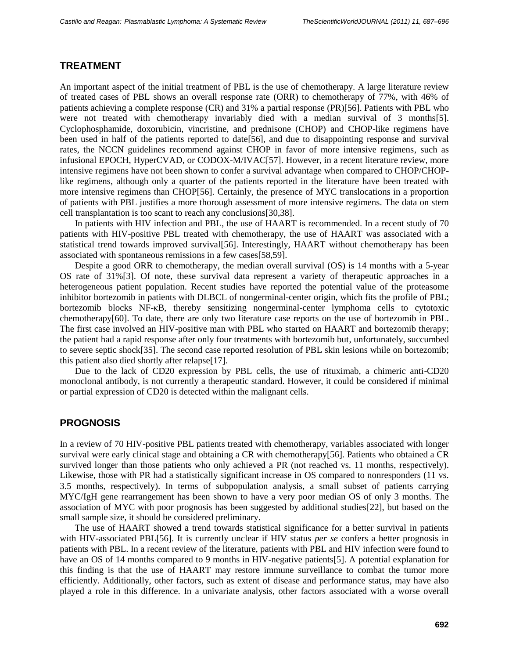#### **TREATMENT**

An important aspect of the initial treatment of PBL is the use of chemotherapy. A large literature review of treated cases of PBL shows an overall response rate (ORR) to chemotherapy of 77%, with 46% of patients achieving a complete response (CR) and 31% a partial response (PR)[56]. Patients with PBL who were not treated with chemotherapy invariably died with a median survival of 3 months[5]. Cyclophosphamide, doxorubicin, vincristine, and prednisone (CHOP) and CHOP-like regimens have been used in half of the patients reported to date[56], and due to disappointing response and survival rates, the NCCN guidelines recommend against CHOP in favor of more intensive regimens, such as infusional EPOCH, HyperCVAD, or CODOX-M/IVAC[57]. However, in a recent literature review, more intensive regimens have not been shown to confer a survival advantage when compared to CHOP/CHOPlike regimens, although only a quarter of the patients reported in the literature have been treated with more intensive regimens than CHOP[56]. Certainly, the presence of MYC translocations in a proportion of patients with PBL justifies a more thorough assessment of more intensive regimens. The data on stem cell transplantation is too scant to reach any conclusions[30,38].

In patients with HIV infection and PBL, the use of HAART is recommended. In a recent study of 70 patients with HIV-positive PBL treated with chemotherapy, the use of HAART was associated with a statistical trend towards improved survival[56]. Interestingly, HAART without chemotherapy has been associated with spontaneous remissions in a few cases[58,59].

Despite a good ORR to chemotherapy, the median overall survival (OS) is 14 months with a 5-year OS rate of 31%[3]. Of note, these survival data represent a variety of therapeutic approaches in a heterogeneous patient population. Recent studies have reported the potential value of the proteasome inhibitor bortezomib in patients with DLBCL of nongerminal-center origin, which fits the profile of PBL; bortezomib blocks NF-κB, thereby sensitizing nongerminal-center lymphoma cells to cytotoxic chemotherapy[60]. To date, there are only two literature case reports on the use of bortezomib in PBL. The first case involved an HIV-positive man with PBL who started on HAART and bortezomib therapy; the patient had a rapid response after only four treatments with bortezomib but, unfortunately, succumbed to severe septic shock[35]. The second case reported resolution of PBL skin lesions while on bortezomib; this patient also died shortly after relapse[17].

Due to the lack of CD20 expression by PBL cells, the use of rituximab, a chimeric anti-CD20 monoclonal antibody, is not currently a therapeutic standard. However, it could be considered if minimal or partial expression of CD20 is detected within the malignant cells.

#### **PROGNOSIS**

In a review of 70 HIV-positive PBL patients treated with chemotherapy, variables associated with longer survival were early clinical stage and obtaining a CR with chemotherapy[56]. Patients who obtained a CR survived longer than those patients who only achieved a PR (not reached vs. 11 months, respectively). Likewise, those with PR had a statistically significant increase in OS compared to nonresponders (11 vs. 3.5 months, respectively). In terms of subpopulation analysis, a small subset of patients carrying MYC/IgH gene rearrangement has been shown to have a very poor median OS of only 3 months. The association of MYC with poor prognosis has been suggested by additional studies[22], but based on the small sample size, it should be considered preliminary.

The use of HAART showed a trend towards statistical significance for a better survival in patients with HIV-associated PBL[56]. It is currently unclear if HIV status *per se* confers a better prognosis in patients with PBL. In a recent review of the literature, patients with PBL and HIV infection were found to have an OS of 14 months compared to 9 months in HIV-negative patients [5]. A potential explanation for this finding is that the use of HAART may restore immune surveillance to combat the tumor more efficiently. Additionally, other factors, such as extent of disease and performance status, may have also played a role in this difference. In a univariate analysis, other factors associated with a worse overall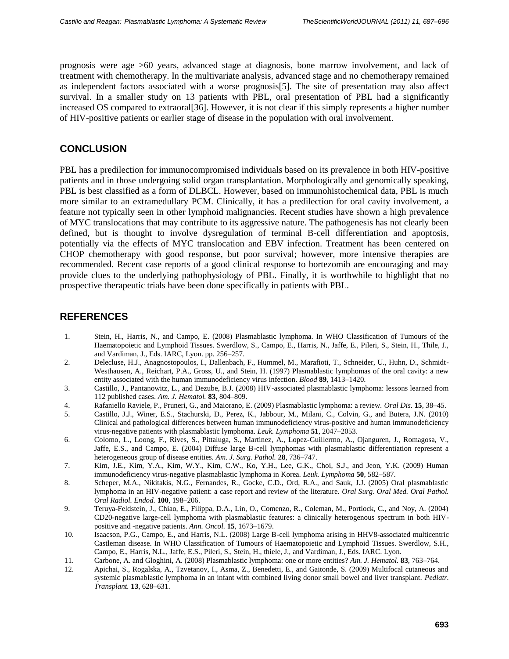prognosis were age >60 years, advanced stage at diagnosis, bone marrow involvement, and lack of treatment with chemotherapy. In the multivariate analysis, advanced stage and no chemotherapy remained as independent factors associated with a worse prognosis[5]. The site of presentation may also affect survival. In a smaller study on 13 patients with PBL, oral presentation of PBL had a significantly increased OS compared to extraoral[36]. However, it is not clear if this simply represents a higher number of HIV-positive patients or earlier stage of disease in the population with oral involvement.

#### **CONCLUSION**

PBL has a predilection for immunocompromised individuals based on its prevalence in both HIV-positive patients and in those undergoing solid organ transplantation. Morphologically and genomically speaking, PBL is best classified as a form of DLBCL. However, based on immunohistochemical data, PBL is much more similar to an extramedullary PCM. Clinically, it has a predilection for oral cavity involvement, a feature not typically seen in other lymphoid malignancies. Recent studies have shown a high prevalence of MYC translocations that may contribute to its aggressive nature. The pathogenesis has not clearly been defined, but is thought to involve dysregulation of terminal B-cell differentiation and apoptosis, potentially via the effects of MYC translocation and EBV infection. Treatment has been centered on CHOP chemotherapy with good response, but poor survival; however, more intensive therapies are recommended. Recent case reports of a good clinical response to bortezomib are encouraging and may provide clues to the underlying pathophysiology of PBL. Finally, it is worthwhile to highlight that no prospective therapeutic trials have been done specifically in patients with PBL.

### **REFERENCES**

- 1. Stein, H., Harris, N., and Campo, E. (2008) Plasmablastic lymphoma. In WHO Classification of Tumours of the Haematopoietic and Lymphoid Tissues. Swerdlow, S., Campo, E., Harris, N., Jaffe, E., Pileri, S., Stein, H., Thile, J., and Vardiman, J., Eds. IARC, Lyon. pp. 256–257.
- 2. Delecluse, H.J., Anagnostopoulos, I., Dallenbach, F., Hummel, M., Marafioti, T., Schneider, U., Huhn, D., Schmidt-Westhausen, A., Reichart, P.A., Gross, U., and Stein, H. (1997) Plasmablastic lymphomas of the oral cavity: a new entity associated with the human immunodeficiency virus infection. *Blood* **89**, 1413–1420.
- 3. Castillo, J., Pantanowitz, L., and Dezube, B.J. (2008) HIV-associated plasmablastic lymphoma: lessons learned from 112 published cases. *Am. J. Hematol.* **83**, 804–809.
- 4. Rafaniello Raviele, P., Pruneri, G., and Maiorano, E. (2009) Plasmablastic lymphoma: a review. *Oral Dis.* **15**, 38–45.
- 5. Castillo, J.J., Winer, E.S., Stachurski, D., Perez, K., Jabbour, M., Milani, C., Colvin, G., and Butera, J.N. (2010) Clinical and pathological differences between human immunodeficiency virus-positive and human immunodeficiency virus-negative patients with plasmablastic lymphoma. *Leuk. Lymphoma* **51**, 2047–2053.
- 6. Colomo, L., Loong, F., Rives, S., Pittaluga, S., Martinez, A., Lopez-Guillermo, A., Ojanguren, J., Romagosa, V., Jaffe, E.S., and Campo, E. (2004) Diffuse large B-cell lymphomas with plasmablastic differentiation represent a heterogeneous group of disease entities. *Am. J. Surg. Pathol.* **28**, 736–747.
- 7. Kim, J.E., Kim, Y.A., Kim, W.Y., Kim, C.W., Ko, Y.H., Lee, G.K., Choi, S.J., and Jeon, Y.K. (2009) Human immunodeficiency virus-negative plasmablastic lymphoma in Korea. *Leuk. Lymphoma* **50**, 582–587.
- 8. Scheper, M.A., Nikitakis, N.G., Fernandes, R., Gocke, C.D., Ord, R.A., and Sauk, J.J. (2005) Oral plasmablastic lymphoma in an HIV-negative patient: a case report and review of the literature. *Oral Surg. Oral Med. Oral Pathol. Oral Radiol. Endod.* **100**, 198–206.
- 9. Teruya-Feldstein, J., Chiao, E., Filippa, D.A., Lin, O., Comenzo, R., Coleman, M., Portlock, C., and Noy, A. (2004) CD20-negative large-cell lymphoma with plasmablastic features: a clinically heterogenous spectrum in both HIVpositive and -negative patients. *Ann. Oncol.* **15**, 1673–1679.
- 10. Isaacson, P.G., Campo, E., and Harris, N.L. (2008) Large B-cell lymphoma arising in HHV8-associated multicentric Castleman disease. In WHO Classification of Tumours of Haematopoietic and Lymphoid Tissues. Swerdlow, S.H., Campo, E., Harris, N.L., Jaffe, E.S., Pileri, S., Stein, H., thiele, J., and Vardiman, J., Eds. IARC. Lyon.
- 11. Carbone, A. and Gloghini, A. (2008) Plasmablastic lymphoma: one or more entities? *Am. J. Hematol.* **83**, 763–764.
- 12. Apichai, S., Rogalska, A., Tzvetanov, I., Asma, Z., Benedetti, E., and Gaitonde, S. (2009) Multifocal cutaneous and systemic plasmablastic lymphoma in an infant with combined living donor small bowel and liver transplant. *Pediatr. Transplant.* **13**, 628–631.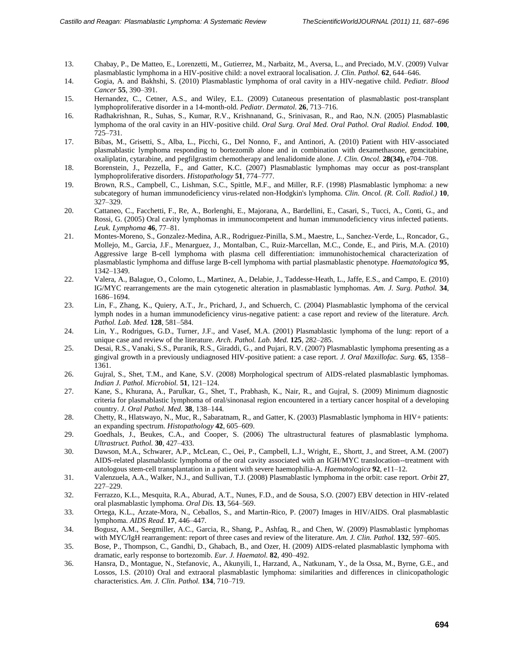- 13. Chabay, P., De Matteo, E., Lorenzetti, M., Gutierrez, M., Narbaitz, M., Aversa, L., and Preciado, M.V. (2009) Vulvar plasmablastic lymphoma in a HIV-positive child: a novel extraoral localisation. *J. Clin. Pathol.* **62**, 644–646.
- 14. Gogia, A. and Bakhshi, S. (2010) Plasmablastic lymphoma of oral cavity in a HIV-negative child. *Pediatr. Blood Cancer* **55**, 390–391.
- 15. Hernandez, C., Cetner, A.S., and Wiley, E.L. (2009) Cutaneous presentation of plasmablastic post-transplant lymphoproliferative disorder in a 14-month-old. *Pediatr. Dermatol.* **26**, 713–716.
- 16. Radhakrishnan, R., Suhas, S., Kumar, R.V., Krishnanand, G., Srinivasan, R., and Rao, N.N. (2005) Plasmablastic lymphoma of the oral cavity in an HIV-positive child. *Oral Surg. Oral Med. Oral Pathol. Oral Radiol. Endod.* **100**, 725–731.
- 17. Bibas, M., Grisetti, S., Alba, L., Picchi, G., Del Nonno, F., and Antinori, A. (2010) Patient with HIV-associated plasmablastic lymphoma responding to bortezomib alone and in combination with dexamethasone, gemcitabine, oxaliplatin, cytarabine, and pegfilgrastim chemotherapy and lenalidomide alone. *J. Clin. Oncol.* **28(34),** e704–708.
- 18. Borenstein, J., Pezzella, F., and Gatter, K.C. (2007) Plasmablastic lymphomas may occur as post-transplant lymphoproliferative disorders. *Histopathology* **51**, 774–777.
- 19. Brown, R.S., Campbell, C., Lishman, S.C., Spittle, M.F., and Miller, R.F. (1998) Plasmablastic lymphoma: a new subcategory of human immunodeficiency virus-related non-Hodgkin's lymphoma. *Clin. Oncol. (R. Coll. Radiol.)* **10**, 327–329.
- 20. Cattaneo, C., Facchetti, F., Re, A., Borlenghi, E., Majorana, A., Bardellini, E., Casari, S., Tucci, A., Conti, G., and Rossi, G. (2005) Oral cavity lymphomas in immunocompetent and human immunodeficiency virus infected patients. *Leuk. Lymphoma* **46**, 77–81.
- 21. Montes-Moreno, S., Gonzalez-Medina, A.R., Rodriguez-Pinilla, S.M., Maestre, L., Sanchez-Verde, L., Roncador, G., Mollejo, M., Garcia, J.F., Menarguez, J., Montalban, C., Ruiz-Marcellan, M.C., Conde, E., and Piris, M.A. (2010) Aggressive large B-cell lymphoma with plasma cell differentiation: immunohistochemical characterization of plasmablastic lymphoma and diffuse large B-cell lymphoma with partial plasmablastic phenotype. *Haematologica* **95**, 1342–1349.
- 22. Valera, A., Balague, O., Colomo, L., Martinez, A., Delabie, J., Taddesse-Heath, L., Jaffe, E.S., and Campo, E. (2010) IG/MYC rearrangements are the main cytogenetic alteration in plasmablastic lymphomas. *Am. J. Surg. Pathol.* **34**, 1686–1694.
- 23. Lin, F., Zhang, K., Quiery, A.T., Jr., Prichard, J., and Schuerch, C. (2004) Plasmablastic lymphoma of the cervical lymph nodes in a human immunodeficiency virus-negative patient: a case report and review of the literature. *Arch. Pathol. Lab. Med.* **128**, 581–584.
- 24. Lin, Y., Rodrigues, G.D., Turner, J.F., and Vasef, M.A. (2001) Plasmablastic lymphoma of the lung: report of a unique case and review of the literature. *Arch. Pathol. Lab. Med.* **125**, 282–285.
- 25. Desai, R.S., Vanaki, S.S., Puranik, R.S., Giraddi, G., and Pujari, R.V. (2007) Plasmablastic lymphoma presenting as a gingival growth in a previously undiagnosed HIV-positive patient: a case report. *J. Oral Maxillofac. Surg.* **65**, 1358– 1361.
- 26. Gujral, S., Shet, T.M., and Kane, S.V. (2008) Morphological spectrum of AIDS-related plasmablastic lymphomas. *Indian J. Pathol. Microbiol.* **51**, 121–124.
- 27. Kane, S., Khurana, A., Parulkar, G., Shet, T., Prabhash, K., Nair, R., and Gujral, S. (2009) Minimum diagnostic criteria for plasmablastic lymphoma of oral/sinonasal region encountered in a tertiary cancer hospital of a developing country. *J. Oral Pathol. Med.* **38**, 138–144.
- 28. Chetty, R., Hlatswayo, N., Muc, R., Sabaratnam, R., and Gatter, K. (2003) Plasmablastic lymphoma in HIV+ patients: an expanding spectrum. *Histopathology* **42**, 605–609.
- 29. Goedhals, J., Beukes, C.A., and Cooper, S. (2006) The ultrastructural features of plasmablastic lymphoma. *Ultrastruct. Pathol.* **30**, 427–433.
- 30. Dawson, M.A., Schwarer, A.P., McLean, C., Oei, P., Campbell, L.J., Wright, E., Shortt, J., and Street, A.M. (2007) AIDS-related plasmablastic lymphoma of the oral cavity associated with an IGH/MYC translocation--treatment with autologous stem-cell transplantation in a patient with severe haemophilia-A. *Haematologica* **92**, e11–12.
- 31. Valenzuela, A.A., Walker, N.J., and Sullivan, T.J. (2008) Plasmablastic lymphoma in the orbit: case report. *Orbit* **27**, 227–229.
- 32. Ferrazzo, K.L., Mesquita, R.A., Aburad, A.T., Nunes, F.D., and de Sousa, S.O. (2007) EBV detection in HIV-related oral plasmablastic lymphoma. *Oral Dis.* **13**, 564–569.
- 33. Ortega, K.L., Arzate-Mora, N., Ceballos, S., and Martin-Rico, P. (2007) Images in HIV/AIDS. Oral plasmablastic lymphoma. *AIDS Read.* **17**, 446–447.
- 34. Bogusz, A.M., Seegmiller, A.C., Garcia, R., Shang, P., Ashfaq, R., and Chen, W. (2009) Plasmablastic lymphomas with MYC/IgH rearrangement: report of three cases and review of the literature. *Am. J. Clin. Pathol.* **132**, 597–605.
- 35. Bose, P., Thompson, C., Gandhi, D., Ghabach, B., and Ozer, H. (2009) AIDS-related plasmablastic lymphoma with dramatic, early response to bortezomib. *Eur. J. Haematol.* **82**, 490–492.
- 36. Hansra, D., Montague, N., Stefanovic, A., Akunyili, I., Harzand, A., Natkunam, Y., de la Ossa, M., Byrne, G.E., and Lossos, I.S. (2010) Oral and extraoral plasmablastic lymphoma: similarities and differences in clinicopathologic characteristics. *Am. J. Clin. Pathol.* **134**, 710–719.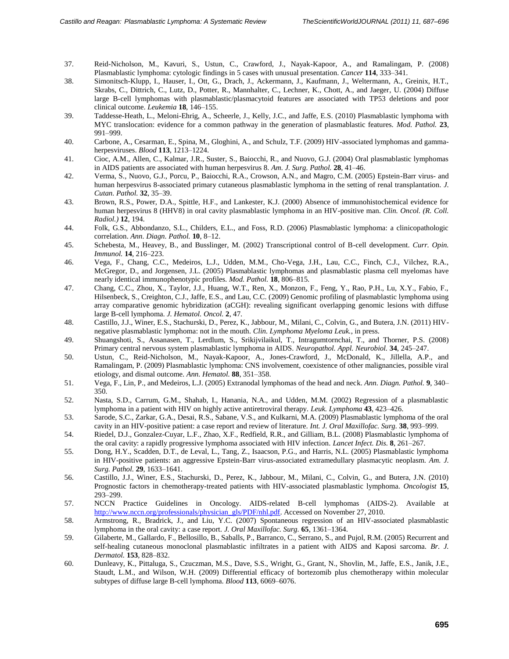- 37. Reid-Nicholson, M., Kavuri, S., Ustun, C., Crawford, J., Nayak-Kapoor, A., and Ramalingam, P. (2008) Plasmablastic lymphoma: cytologic findings in 5 cases with unusual presentation. *Cancer* **114**, 333–341.
- 38. Simonitsch-Klupp, I., Hauser, I., Ott, G., Drach, J., Ackermann, J., Kaufmann, J., Weltermann, A., Greinix, H.T., Skrabs, C., Dittrich, C., Lutz, D., Potter, R., Mannhalter, C., Lechner, K., Chott, A., and Jaeger, U. (2004) Diffuse large B-cell lymphomas with plasmablastic/plasmacytoid features are associated with TP53 deletions and poor clinical outcome. *Leukemia* **18**, 146–155.
- 39. Taddesse-Heath, L., Meloni-Ehrig, A., Scheerle, J., Kelly, J.C., and Jaffe, E.S. (2010) Plasmablastic lymphoma with MYC translocation: evidence for a common pathway in the generation of plasmablastic features. *Mod. Pathol.* **23**, 991–999.
- 40. Carbone, A., Cesarman, E., Spina, M., Gloghini, A., and Schulz, T.F. (2009) HIV-associated lymphomas and gammaherpesviruses. *Blood* **113**, 1213–1224.
- 41. Cioc, A.M., Allen, C., Kalmar, J.R., Suster, S., Baiocchi, R., and Nuovo, G.J. (2004) Oral plasmablastic lymphomas in AIDS patients are associated with human herpesvirus 8. *Am. J. Surg. Pathol.* **28**, 41–46.
- 42. Verma, S., Nuovo, G.J., Porcu, P., Baiocchi, R.A., Crowson, A.N., and Magro, C.M. (2005) Epstein-Barr virus- and human herpesvirus 8-associated primary cutaneous plasmablastic lymphoma in the setting of renal transplantation. *J. Cutan. Pathol.* **32**, 35–39.
- 43. Brown, R.S., Power, D.A., Spittle, H.F., and Lankester, K.J. (2000) Absence of immunohistochemical evidence for human herpesvirus 8 (HHV8) in oral cavity plasmablastic lymphoma in an HIV-positive man. *Clin. Oncol. (R. Coll. Radiol.)* **12**, 194.
- 44. Folk, G.S., Abbondanzo, S.L., Childers, E.L., and Foss, R.D. (2006) Plasmablastic lymphoma: a clinicopathologic correlation. *Ann. Diagn. Pathol.* **10**, 8–12.
- 45. Schebesta, M., Heavey, B., and Busslinger, M. (2002) Transcriptional control of B-cell development. *Curr. Opin. Immunol.* **14**, 216–223.
- 46. Vega, F., Chang, C.C., Medeiros, L.J., Udden, M.M., Cho-Vega, J.H., Lau, C.C., Finch, C.J., Vilchez, R.A., McGregor, D., and Jorgensen, J.L. (2005) Plasmablastic lymphomas and plasmablastic plasma cell myelomas have nearly identical immunophenotypic profiles. *Mod. Pathol.* **18**, 806–815.
- 47. Chang, C.C., Zhou, X., Taylor, J.J., Huang, W.T., Ren, X., Monzon, F., Feng, Y., Rao, P.H., Lu, X.Y., Fabio, F., Hilsenbeck, S., Creighton, C.J., Jaffe, E.S., and Lau, C.C. (2009) Genomic profiling of plasmablastic lymphoma using array comparative genomic hybridization (aCGH): revealing significant overlapping genomic lesions with diffuse large B-cell lymphoma. *J. Hematol. Oncol.* **2**, 47.
- 48. Castillo, J.J., Winer, E.S., Stachurski, D., Perez, K., Jabbour, M., Milani, C., Colvin, G., and Butera, J.N. (2011) HIVnegative plasmablastic lymphoma: not in the mouth. *Clin. Lymphoma Myeloma Leuk.*, in press.
- 49. Shuangshoti, S., Assanasen, T., Lerdlum, S., Srikijvilaikul, T., Intragumtornchai, T., and Thorner, P.S. (2008) Primary central nervous system plasmablastic lymphoma in AIDS. *Neuropathol. Appl. Neurobiol.* **34**, 245–247.
- 50. Ustun, C., Reid-Nicholson, M., Nayak-Kapoor, A., Jones-Crawford, J., McDonald, K., Jillella, A.P., and Ramalingam, P. (2009) Plasmablastic lymphoma: CNS involvement, coexistence of other malignancies, possible viral etiology, and dismal outcome. *Ann. Hematol.* **88**, 351–358.
- 51. Vega, F., Lin, P., and Medeiros, L.J. (2005) Extranodal lymphomas of the head and neck. *Ann. Diagn. Pathol.* **9**, 340– 350.
- 52. Nasta, S.D., Carrum, G.M., Shahab, I., Hanania, N.A., and Udden, M.M. (2002) Regression of a plasmablastic lymphoma in a patient with HIV on highly active antiretroviral therapy. *Leuk. Lymphoma* **43**, 423–426.
- 53. Sarode, S.C., Zarkar, G.A., Desai, R.S., Sabane, V.S., and Kulkarni, M.A. (2009) Plasmablastic lymphoma of the oral cavity in an HIV-positive patient: a case report and review of literature. *Int. J. Oral Maxillofac. Surg.* **38**, 993–999.
- 54. Riedel, D.J., Gonzalez-Cuyar, L.F., Zhao, X.F., Redfield, R.R., and Gilliam, B.L. (2008) Plasmablastic lymphoma of the oral cavity: a rapidly progressive lymphoma associated with HIV infection. *Lancet Infect. Dis.* **8**, 261–267.
- 55. Dong, H.Y., Scadden, D.T., de Leval, L., Tang, Z., Isaacson, P.G., and Harris, N.L. (2005) Plasmablastic lymphoma in HIV-positive patients: an aggressive Epstein-Barr virus-associated extramedullary plasmacytic neoplasm. *Am. J. Surg. Pathol.* **29**, 1633–1641.
- 56. Castillo, J.J., Winer, E.S., Stachurski, D., Perez, K., Jabbour, M., Milani, C., Colvin, G., and Butera, J.N. (2010) Prognostic factors in chemotherapy-treated patients with HIV-associated plasmablastic lymphoma. *Oncologist* **15**, 293–299.
- 57. NCCN Practice Guidelines in Oncology. AIDS-related B-cell lymphomas (AIDS-2). Available at [http://www.nccn.org/professionals/physician\\_gls/PDF/nhl.pdf.](http://www.nccn.org/professionals/physician_gls/PDF/nhl.pdf) Accessed on November 27, 2010.
- 58. Armstrong, R., Bradrick, J., and Liu, Y.C. (2007) Spontaneous regression of an HIV-associated plasmablastic lymphoma in the oral cavity: a case report. *J. Oral Maxillofac. Surg.* **65**, 1361–1364.
- 59. Gilaberte, M., Gallardo, F., Bellosillo, B., Saballs, P., Barranco, C., Serrano, S., and Pujol, R.M. (2005) Recurrent and self-healing cutaneous monoclonal plasmablastic infiltrates in a patient with AIDS and Kaposi sarcoma. *Br. J. Dermatol.* **153**, 828–832.
- 60. Dunleavy, K., Pittaluga, S., Czuczman, M.S., Dave, S.S., Wright, G., Grant, N., Shovlin, M., Jaffe, E.S., Janik, J.E., Staudt, L.M., and Wilson, W.H. (2009) Differential efficacy of bortezomib plus chemotherapy within molecular subtypes of diffuse large B-cell lymphoma. *Blood* **113**, 6069–6076.